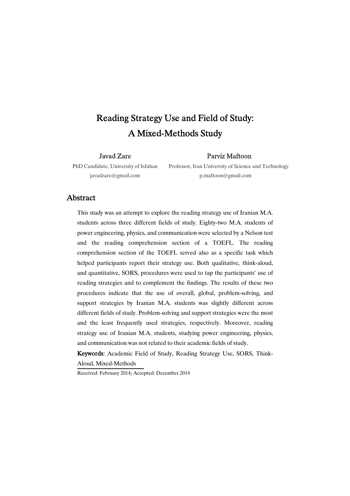# Reading Strategy Use and Field of Study: A Mixed-Methods Study

Javad�Zare

Parviz Maftoon

PhD Candidate, University of Isfahan javadzare@gmail.com

Professor, Iran University of Science and Technology p.maftoon@gmail.com

### **Abstract**

This study was an attempt to explore the reading strategy use of Iranian M.A. students across three different fields of study. Eighty-two M.A. students of power engineering, physics, and communication were selected by a Nelson test and the reading comprehension section of a TOEFL. The reading comprehension section of the TOEFL served also as a specific task which helped participants report their strategy use. Both qualitative, think-aloud, and quantitative, SORS, procedures were used to tap the participants' use of reading strategies and to complement the findings. The results of these two procedures indicate that the use of overall, global, problem-solving, and support strategies by Iranian M.A. students was slightly different across different fields of study. Problem-solving and support strategies were the most and the least frequently used strategies, respectively. Moreover, reading strategy use of Iranian M.A. students, studying power engineering, physics, and communication was not related to their academic fields of study.

Keywords: Academic Field of Study, Reading Strategy Use, SORS, Think-Aloud, Mixed-Methods

Received: February 2014; Accepted: December 2014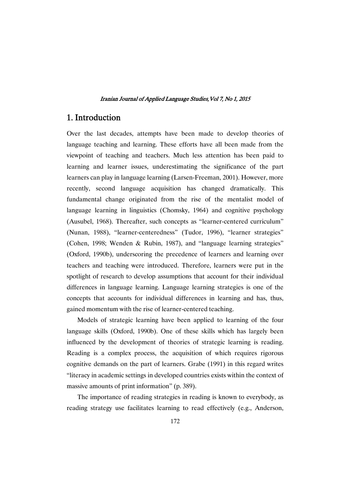### 1. Introduction�

Over the last decades, attempts have been made to develop theories of language teaching and learning. These efforts have all been made from the viewpoint of teaching and teachers. Much less attention has been paid to learning and learner issues, underestimating the significance of the part learners can play in language learning (Larsen-Freeman, 2001). However, more recently, second language acquisition has changed dramatically. This fundamental change originated from the rise of the mentalist model of language learning in linguistics (Chomsky, 1964) and cognitive psychology (Ausubel, 1968). Thereafter, such concepts as "learner-centered curriculum" (Nunan, 1988), "learner-centeredness" (Tudor, 1996), "learner strategies" (Cohen, 1998; Wenden & Rubin, 1987), and "language learning strategies" (Oxford, 1990b), underscoring the precedence of learners and learning over teachers and teaching were introduced. Therefore, learners were put in the spotlight of research to develop assumptions that account for their individual differences in language learning. Language learning strategies is one of the concepts that accounts for individual differences in learning and has, thus, gained momentum with the rise of learner-centered teaching.

Models of strategic learning have been applied to learning of the four language skills (Oxford, 1990b). One of these skills which has largely been influenced by the development of theories of strategic learning is reading. Reading is a complex process, the acquisition of which requires rigorous cognitive demands on the part of learners. Grabe (1991) in this regard writes "literacy in academic settings in developed countries exists within the context of massive amounts of print information" (p. 389).

The importance of reading strategies in reading is known to everybody, as reading strategy use facilitates learning to read effectively (e.g., Anderson,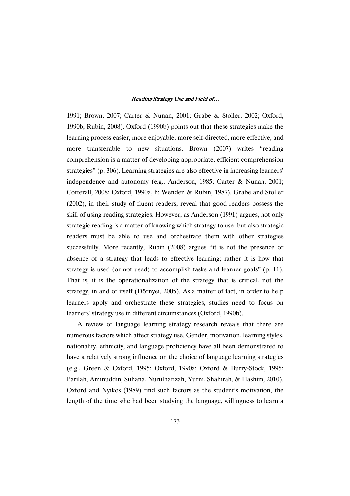1991; Brown, 2007; Carter & Nunan, 2001; Grabe & Stoller, 2002; Oxford, 1990b; Rubin, 2008). Oxford (1990b) points out that these strategies make the learning process easier, more enjoyable, more self-directed, more effective, and more transferable to new situations. Brown (2007) writes "reading comprehension is a matter of developing appropriate, efficient comprehension strategies" (p. 306). Learning strategies are also effective in increasing learners' independence and autonomy (e.g., Anderson, 1985; Carter & Nunan, 2001; Cotterall, 2008; Oxford, 1990a, b; Wenden & Rubin, 1987). Grabe and Stoller (2002), in their study of fluent readers, reveal that good readers possess the skill of using reading strategies. However, as Anderson (1991) argues, not only strategic reading is a matter of knowing which strategy to use, but also strategic readers must be able to use and orchestrate them with other strategies successfully. More recently, Rubin (2008) argues "it is not the presence or absence of a strategy that leads to effective learning; rather it is how that strategy is used (or not used) to accomplish tasks and learner goals" (p. 11). That is, it is the operationalization of the strategy that is critical, not the strategy, in and of itself (Dörnyei, 2005). As a matter of fact, in order to help learners apply and orchestrate these strategies, studies need to focus on learners' strategy use in different circumstances (Oxford, 1990b).

A review of language learning strategy research reveals that there are numerous factors which affect strategy use. Gender, motivation, learning styles, nationality, ethnicity, and language proficiency have all been demonstrated to have a relatively strong influence on the choice of language learning strategies (e.g., Green & Oxford, 1995; Oxford, 1990a; Oxford & Burry-Stock, 1995; Parilah, Aminuddin, Suhana, Nurulhafizah, Yurni, Shahirah, & Hashim, 2010). Oxford and Nyikos (1989) find such factors as the student's motivation, the length of the time s/he had been studying the language, willingness to learn a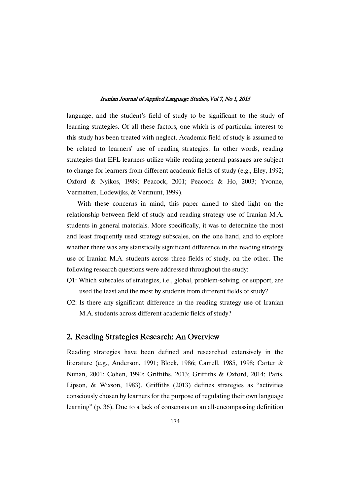language, and the student's field of study to be significant to the study of learning strategies. Of all these factors, one which is of particular interest to this study has been treated with neglect. Academic field of study is assumed to be related to learners' use of reading strategies. In other words, reading strategies that EFL learners utilize while reading general passages are subject to change for learners from different academic fields of study (e.g., Eley, 1992; Oxford & Nyikos, 1989; Peacock, 2001; Peacock & Ho, 2003; Yvonne, Vermetten, Lodewijks, & Vermunt, 1999).

With these concerns in mind, this paper aimed to shed light on the relationship between field of study and reading strategy use of Iranian M.A. students in general materials. More specifically, it was to determine the most and least frequently used strategy subscales, on the one hand, and to explore whether there was any statistically significant difference in the reading strategy use of Iranian M.A. students across three fields of study, on the other. The following research questions were addressed throughout the study:

- Q1: Which subscales of strategies, i.e., global, problem-solving, or support, are used the least and the most by students from different fields of study?
- Q2: Is there any significant difference in the reading strategy use of Iranian M.A. students across different academic fields of study?

### 2. Reading Strategies Research: An Overview

Reading strategies have been defined and researched extensively in the literature (e.g., Anderson, 1991; Block, 1986; Carrell, 1985, 1998; Carter & Nunan, 2001; Cohen, 1990; Griffiths, 2013; Griffiths & Oxford, 2014; Paris, Lipson, & Wixson, 1983). Griffiths (2013) defines strategies as "activities consciously chosen by learners for the purpose of regulating their own language learning" (p. 36). Due to a lack of consensus on an all-encompassing definition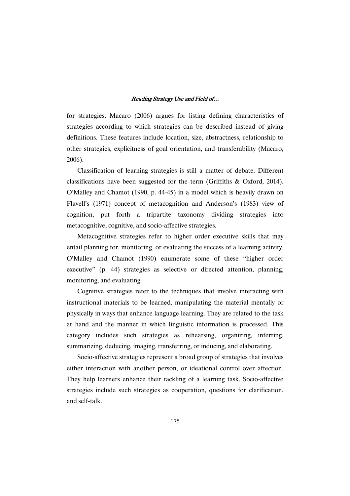for strategies, Macaro (2006) argues for listing defining characteristics of strategies according to which strategies can be described instead of giving definitions. These features include location, size, abstractness, relationship to other strategies, explicitness of goal orientation, and transferability (Macaro, 2006).

Classification of learning strategies is still a matter of debate. Different classifications have been suggested for the term (Griffiths & Oxford, 2014). O'Malley and Chamot (1990, p. 44-45) in a model which is heavily drawn on Flavell's (1971) concept of metacognition and Anderson's (1983) view of cognition, put forth a tripartite taxonomy dividing strategies into metacognitive, cognitive, and socio-affective strategies.

Metacognitive strategies refer to higher order executive skills that may entail planning for, monitoring, or evaluating the success of a learning activity. O'Malley and Chamot (1990) enumerate some of these "higher order executive" (p. 44) strategies as selective or directed attention, planning, monitoring, and evaluating.

Cognitive strategies refer to the techniques that involve interacting with instructional materials to be learned, manipulating the material mentally or physically in ways that enhance language learning. They are related to the task at hand and the manner in which linguistic information is processed. This category includes such strategies as rehearsing, organizing, inferring, summarizing, deducing, imaging, transferring, or inducing, and elaborating.

Socio-affective strategies represent a broad group of strategies that involves either interaction with another person, or ideational control over affection. They help learners enhance their tackling of a learning task. Socio-affective strategies include such strategies as cooperation, questions for clarification, and self-talk.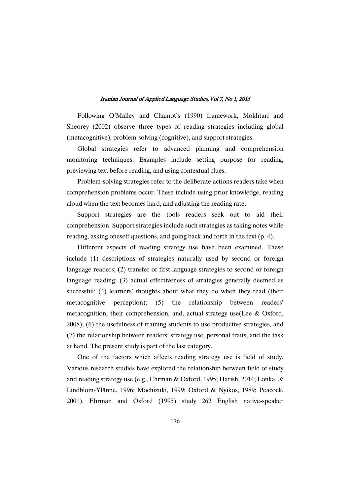Following O'Malley and Chamot's (1990) framework, Mokhtari and Sheorey (2002) observe three types of reading strategies including global (metacognitive), problem-solving (cognitive), and support strategies.�

Global strategies refer to advanced planning and comprehension monitoring techniques. Examples include setting purpose for reading, previewing text before reading, and using contextual clues.�

Problem-solving strategies refer to the deliberate actions readers take when comprehension problems occur. These include using prior knowledge, reading aloud when the text becomes hard, and adjusting the reading rate.

Support strategies are the tools readers seek out to aid their comprehension. Support strategies include such strategies as taking notes while reading, asking oneself questions, and going back and forth in the text (p. 4).

Different aspects of reading strategy use have been examined. These include (1) descriptions of strategies naturally used by second or foreign language readers; (2) transfer of first language strategies to second or foreign language reading; (3) actual effectiveness of strategies generally deemed as successful; (4) learners' thoughts about what they do when they read (their metacognitive perception); (5) the relationship between readers' metacognition, their comprehension, and, actual strategy use(Lee & Oxford, 2008); (6) the usefulness of training students to use productive strategies, and (7) the relationship between readers' strategy use, personal traits, and the task at hand. The present study is part of the last category.

One of the factors which affects reading strategy use is field of study. Various research studies have explored the relationship between field of study and reading strategy use (e.g., Ehrman & Oxford, 1995; Harish, 2014; Lonka, & Lindblom-Ylänne, 1996; Mochizuki, 1999; Oxford & Nyikos, 1989; Peacock, 2001). Ehrman and Oxford (1995) study 262 English native-speaker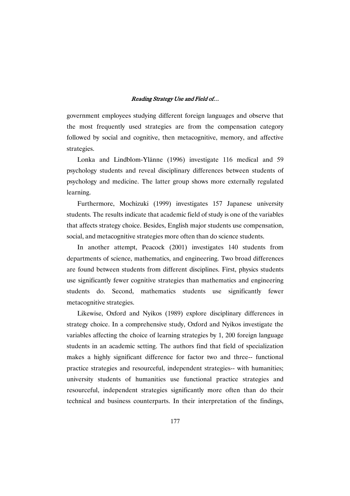government employees studying different foreign languages and observe that the most frequently used strategies are from the compensation category followed by social and cognitive, then metacognitive, memory, and affective strategies.

Lonka and Lindblom-Ylänne (1996) investigate 116 medical and 59 psychology students and reveal disciplinary differences between students of psychology and medicine. The latter group shows more externally regulated learning.

Furthermore, Mochizuki (1999) investigates 157 Japanese university students. The results indicate that academic field of study is one of the variables that affects strategy choice. Besides, English major students use compensation, social, and metacognitive strategies more often than do science students.

In another attempt, Peacock (2001) investigates 140 students from departments of science, mathematics, and engineering. Two broad differences are found between students from different disciplines. First, physics students use significantly fewer cognitive strategies than mathematics and engineering students do. Second, mathematics students use significantly fewer metacognitive strategies.

Likewise, Oxford and Nyikos (1989) explore disciplinary differences in strategy choice. In a comprehensive study, Oxford and Nyikos investigate the variables affecting the choice of learning strategies by 1, 200 foreign language students in an academic setting. The authors find that field of specialization makes a highly significant difference for factor two and three-- functional practice strategies and resourceful, independent strategies-- with humanities; university students of humanities use functional practice strategies and resourceful, independent strategies significantly more often than do their technical and business counterparts. In their interpretation of the findings,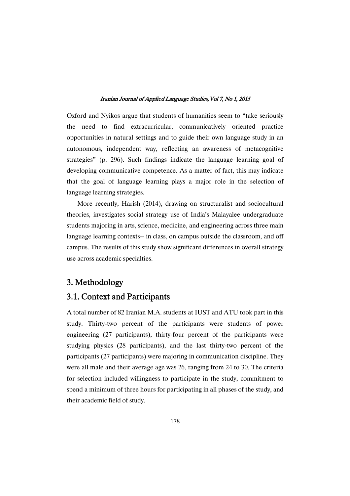Oxford and Nyikos argue that students of humanities seem to "take seriously the need to find extracurricular, communicatively oriented practice opportunities in natural settings and to guide their own language study in an autonomous, independent way, reflecting an awareness of metacognitive strategies" (p. 296). Such findings indicate the language learning goal of developing communicative competence. As a matter of fact, this may indicate that the goal of language learning plays a major role in the selection of language learning strategies.

More recently, Harish (2014), drawing on structuralist and sociocultural theories, investigates social strategy use of India's Malayalee undergraduate students majoring in arts, science, medicine, and engineering across three main language learning contexts-- in class, on campus outside the classroom, and off campus. The results of this study show signi�cant differences in overall strategy use across academic specialties.

# 3. Methodology�

# 3.1. Context and Participants

A total number of 82 Iranian M.A. students at IUST and ATU took part in this study. Thirty-two percent of the participants were students of power engineering (27 participants), thirty-four percent of the participants were studying physics (28 participants), and the last thirty-two percent of the participants (27 participants) were majoring in communication discipline. They were all male and their average age was 26, ranging from 24 to 30. The criteria for selection included willingness to participate in the study, commitment to spend a minimum of three hours for participating in all phases of the study, and their academic field of study.�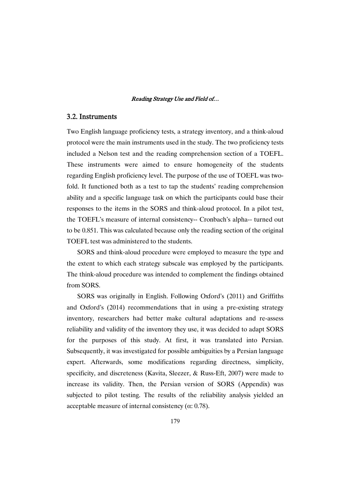### 3.2. Instruments

Two English language proficiency tests, a strategy inventory, and a think-aloud protocol were the main instruments used in the study. The two proficiency tests included a Nelson test and the reading comprehension section of a TOEFL. These instruments were aimed to ensure homogeneity of the students regarding English proficiency level. The purpose of the use of TOEFL was twofold. It functioned both as a test to tap the students' reading comprehension ability and a specific language task on which the participants could base their responses to the items in the SORS and think-aloud protocol. In a pilot test, the TOEFL's measure of internal consistency-- Cronbach's alpha-- turned out to be 0.851. This was calculated because only the reading section of the original TOEFL test was administered to the students.

SORS and think-aloud procedure were employed to measure the type and the extent to which each strategy subscale was employed by the participants. The think-aloud procedure was intended to complement the findings obtained from SORS.

SORS was originally in English. Following Oxford's (2011) and Griffiths and Oxford's (2014) recommendations that in using a pre-existing strategy inventory, researchers had better make cultural adaptations and re-assess reliability and validity of the inventory they use, it was decided to adapt SORS for the purposes of this study. At first, it was translated into Persian. Subsequently, it was investigated for possible ambiguities by a Persian language expert. Afterwards, some modifications regarding directness, simplicity, specificity, and discreteness (Kavita, Sleezer, & Russ-Eft, 2007) were made to increase its validity. Then, the Persian version of SORS (Appendix) was subjected to pilot testing. The results of the reliability analysis yielded an acceptable measure of internal consistency ( $\alpha$ : 0.78).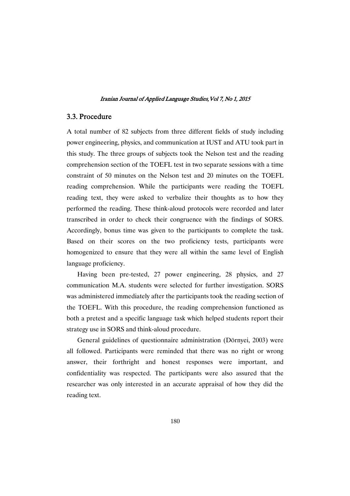### 3.3. Procedure

A total number of 82 subjects from three different fields of study including power engineering, physics, and communication at IUST and ATU took part in this study. The three groups of subjects took the Nelson test and the reading comprehension section of the TOEFL test in two separate sessions with a time constraint of 50 minutes on the Nelson test and 20 minutes on the TOEFL reading comprehension. While the participants were reading the TOEFL reading text, they were asked to verbalize their thoughts as to how they performed the reading. These think-aloud protocols were recorded and later transcribed in order to check their congruence with the findings of SORS. Accordingly, bonus time was given to the participants to complete the task. Based on their scores on the two proficiency tests, participants were homogenized to ensure that they were all within the same level of English language proficiency.

Having been pre-tested, 27 power engineering, 28 physics, and 27 communication M.A. students were selected for further investigation. SORS was administered immediately after the participants took the reading section of the TOEFL. With this procedure, the reading comprehension functioned as both a pretest and a specific language task which helped students report their strategy use in SORS and think-aloud procedure.

General guidelines of questionnaire administration (Dörnyei, 2003) were all followed. Participants were reminded that there was no right or wrong answer, their forthright and honest responses were important, and confidentiality was respected. The participants were also assured that the researcher was only interested in an accurate appraisal of how they did the reading text.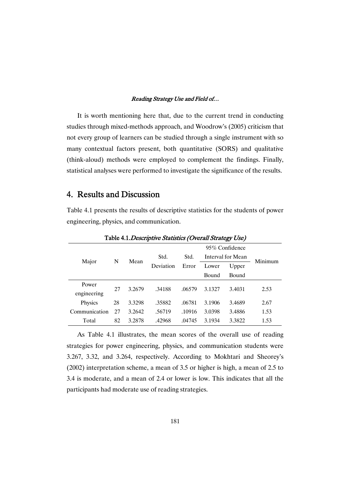It is worth mentioning here that, due to the current trend in conducting studies through mixed-methods approach, and Woodrow's (2005) criticism that not every group of learners can be studied through a single instrument with so many contextual factors present, both quantitative (SORS) and qualitative (think-aloud) methods were employed to complement the findings. Finally, statistical analyses were performed to investigate the significance of the results.

# 4. Results and Discussion

Table 4.1 presents the results of descriptive statistics for the students of power engineering, physics, and communication.

|               |    |        |                   |               | 95% Confidence    |        |         |  |
|---------------|----|--------|-------------------|---------------|-------------------|--------|---------|--|
| Major         | N  | Mean   | Std.<br>Deviation | Std.<br>Error | Interval for Mean |        | Minimum |  |
|               |    |        |                   |               | Lower             | Upper  |         |  |
|               |    |        |                   |               | Bound             | Bound  |         |  |
| Power         |    | 3.2679 | .34188            | .06579        | 3.1327            | 3.4031 | 2.53    |  |
| engineering   | 27 |        |                   |               |                   |        |         |  |
| Physics       | 28 | 3.3298 | .35882            | .06781        | 3.1906            | 3.4689 | 2.67    |  |
| Communication | 27 | 3.2642 | .56719            | .10916        | 3.0398            | 3.4886 | 1.53    |  |
| Total         | 82 | 3.2878 | .42968            | .04745        | 3.1934            | 3.3822 | 1.53    |  |
|               |    |        |                   |               |                   |        |         |  |

Table 4.1. Descriptive Statistics (Overall Strategy Use)

As Table 4.1 illustrates, the mean scores of the overall use of reading strategies for power engineering, physics, and communication students were 3.267, 3.32, and 3.264, respectively. According to Mokhtari and Sheorey's (2002) interpretation scheme, a mean of 3.5 or higher is high, a mean of 2.5 to 3.4 is moderate, and a mean of 2.4 or lower is low. This indicates that all the participants had moderate use of reading strategies.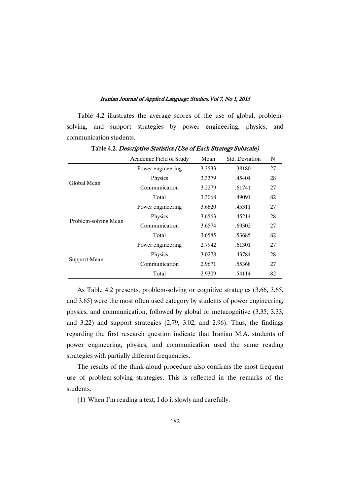Table 4.2 illustrates the average scores of the use of global, problemsolving, and support strategies by power engineering, physics, and communication students.

|                      | Academic Field of Study | Mean   | <b>Std. Deviation</b> | N  |
|----------------------|-------------------------|--------|-----------------------|----|
|                      | Power engineering       | 3.3533 | .38180                | 27 |
| Global Mean          | Physics                 | 3.3379 | .45404                | 28 |
|                      | Communication           | 3.2279 | .61741                | 27 |
|                      | Total                   | 3.3068 | .49091                | 82 |
|                      | Power engineering       | 3.6620 | .45311                | 27 |
|                      | Physics                 | 3.6563 | .45214                | 28 |
| Problem-solving Mean | Communication           | 3.6574 | .69302                | 27 |
|                      | Total                   | 3.6585 | .53685                | 82 |
|                      | Power engineering       | 2.7942 | .61301                | 27 |
| Support Mean         | Physics                 | 3.0278 | .43784                | 28 |
|                      | Communication           | 2.9671 | .55368                | 27 |
|                      | Total                   | 2.9309 | .54114                | 82 |

Table 4.2. Descriptive Statistics (Use of Each Strategy Subscale)

As Table 4.2 presents, problem-solving or cognitive strategies (3.66, 3.65, and 3.65) were the most often used category by students of power engineering, physics, and communication, followed by global or metacognitive (3.35, 3.33, and 3.22) and support strategies (2.79, 3.02, and 2.96). Thus, the findings regarding the first research question indicate that Iranian M.A. students of power engineering, physics, and communication used the same reading strategies with partially different frequencies.

The results of the think-aloud procedure also confirms the most frequent use of problem-solving strategies. This is reflected in the remarks of the students.

(1) When I'm reading a text, I do it slowly and carefully.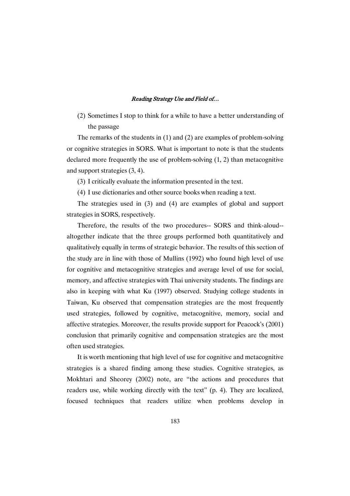(2) Sometimes I stop to think for a while to have a better understanding of the passage

The remarks of the students in (1) and (2) are examples of problem-solving or cognitive strategies in SORS. What is important to note is that the students declared more frequently the use of problem-solving (1, 2) than metacognitive and support strategies (3, 4).

(3) I critically evaluate the information presented in the text.

(4) I use dictionaries and other source books when reading a text.

The strategies used in (3) and (4) are examples of global and support strategies in SORS, respectively.

Therefore, the results of the two procedures-- SORS and think-aloud- altogether indicate that the three groups performed both quantitatively and qualitatively equally in terms of strategic behavior. The results of this section of the study are in line with those of Mullins (1992) who found high level of use for cognitive and metacognitive strategies and average level of use for social, memory, and affective strategies with Thai university students. The findings are also in keeping with what Ku (1997) observed. Studying college students in Taiwan, Ku observed that compensation strategies are the most frequently used strategies, followed by cognitive, metacognitive, memory, social and affective strategies. Moreover, the results provide support for Peacock's (2001) conclusion that primarily cognitive and compensation strategies are the most often used strategies.

It is worth mentioning that high level of use for cognitive and metacognitive strategies is a shared finding among these studies. Cognitive strategies, as Mokhtari and Sheorey (2002) note, are "the actions and procedures that readers use, while working directly with the text" (p. 4). They are localized, focused techniques that readers utilize when problems develop in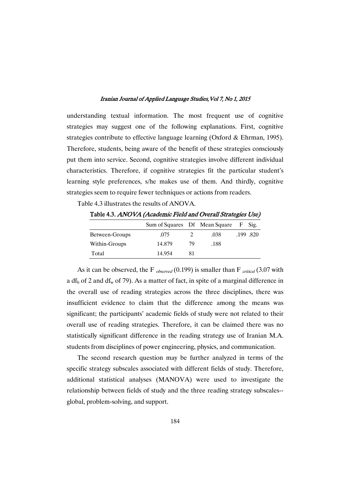understanding textual information. The most frequent use of cognitive strategies may suggest one of the following explanations. First, cognitive strategies contribute to effective language learning (Oxford & Ehrman, 1995). Therefore, students, being aware of the benefit of these strategies consciously put them into service. Second, cognitive strategies involve different individual characteristics. Therefore, if cognitive strategies fit the particular student's learning style preferences, s/he makes use of them. And thirdly, cognitive strategies seem to require fewer techniques or actions from readers.

Table 4.3 illustrates the results of ANOVA.

Table 4.3. ANOVA (Academic Field and Overall Strategies Use)

|                | Sum of Squares Df Mean Square |    |      | F Sig.   |
|----------------|-------------------------------|----|------|----------|
| Between-Groups | .075                          |    | .038 | .199.820 |
| Within-Groups  | 14.879                        | 79 | .188 |          |
| Total          | 14 954                        |    |      |          |

As it can be observed, the F  $_{observed}$  (0.199) is smaller than F  $_{critical}$  (3.07 with a df<sub>b</sub> of 2 and df<sub>w</sub> of 79). As a matter of fact, in spite of a marginal difference in the overall use of reading strategies across the three disciplines, there was insufficient evidence to claim that the difference among the means was significant; the participants' academic fields of study were not related to their overall use of reading strategies. Therefore, it can be claimed there was no statistically significant difference in the reading strategy use of Iranian M.A. students from disciplines of power engineering, physics, and communication.

The second research question may be further analyzed in terms of the specific strategy subscales associated with different fields of study. Therefore, additional statistical analyses (MANOVA) were used to investigate the relationship between fields of study and the three reading strategy subscales- global, problem-solving, and support.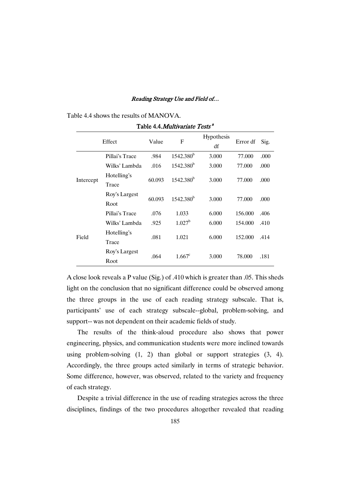Table 4.4 shows the results of MANOVA.

|           | Effect                | Value  | F              | Hypothesis<br>df | Error df | Sig. |
|-----------|-----------------------|--------|----------------|------------------|----------|------|
|           | Pillai's Trace        | .984   | $1542.380^{b}$ | 3.000            | 77.000   | .000 |
| Intercept | Wilks' Lambda         | .016   | $1542.380^{b}$ | 3.000            | 77.000   | .000 |
|           | Hotelling's<br>Trace  | 60.093 | $1542.380^{b}$ | 3.000            | 77.000   | .000 |
|           | Roy's Largest<br>Root | 60.093 | $1542.380^{b}$ | 3.000            | 77.000   | .000 |
|           | Pillai's Trace        | .076   | 1.033          | 6.000            | 156,000  | .406 |
| Field     | Wilks' Lambda         | .925   | $1.027^b$      | 6.000            | 154,000  | .410 |
|           | Hotelling's<br>Trace  | .081   | 1.021          | 6.000            | 152.000  | .414 |
|           | Roy's Largest<br>Root | .064   | $1.667^c$      | 3.000            | 78,000   | .181 |

Table 4.4.*Multivariate Tests* <sup>a</sup>

A close look reveals a P value (Sig.) of .410 which is greater than .05. This sheds light on the conclusion that no significant difference could be observed among the three groups in the use of each reading strategy subscale. That is, participants' use of each strategy subscale--global, problem-solving, and support-- was not dependent on their academic fields of study.

The results of the think-aloud procedure also shows that power engineering, physics, and communication students were more inclined towards using problem-solving (1, 2) than global or support strategies (3, 4). Accordingly, the three groups acted similarly in terms of strategic behavior. Some difference, however, was observed, related to the variety and frequency of each strategy.

Despite a trivial difference in the use of reading strategies across the three disciplines, findings of the two procedures altogether revealed that reading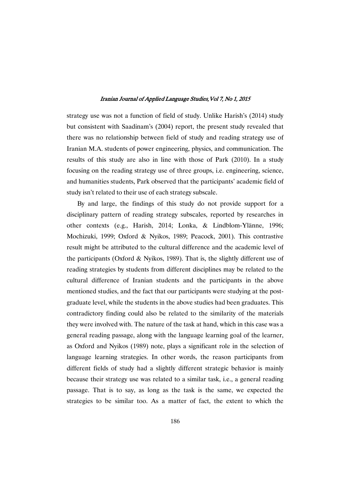strategy use was not a function of field of study. Unlike Harish's (2014) study but consistent with Saadinam's (2004) report, the present study revealed that there was no relationship between field of study and reading strategy use of Iranian M.A. students of power engineering, physics, and communication. The results of this study are also in line with those of Park (2010). In a study focusing on the reading strategy use of three groups, i.e. engineering, science, and humanities students, Park observed that the participants' academic field of study isn't related to their use of each strategy subscale.

By and large, the findings of this study do not provide support for a disciplinary pattern of reading strategy subscales, reported by researches in other contexts (e.g., Harish, 2014; Lonka, & Lindblom-Ylänne, 1996; Mochizuki, 1999; Oxford & Nyikos, 1989; Peacock, 2001). This contrastive result might be attributed to the cultural difference and the academic level of the participants (Oxford  $\&$  Nyikos, 1989). That is, the slightly different use of reading strategies by students from different disciplines may be related to the cultural difference of Iranian students and the participants in the above mentioned studies, and the fact that our participants were studying at the postgraduate level, while the students in the above studies had been graduates. This contradictory finding could also be related to the similarity of the materials they were involved with. The nature of the task at hand, which in this case was a general reading passage, along with the language learning goal of the learner, as Oxford and Nyikos (1989) note, plays a significant role in the selection of language learning strategies. In other words, the reason participants from different fields of study had a slightly different strategic behavior is mainly because their strategy use was related to a similar task, i.e., a general reading passage. That is to say, as long as the task is the same, we expected the strategies to be similar too. As a matter of fact, the extent to which the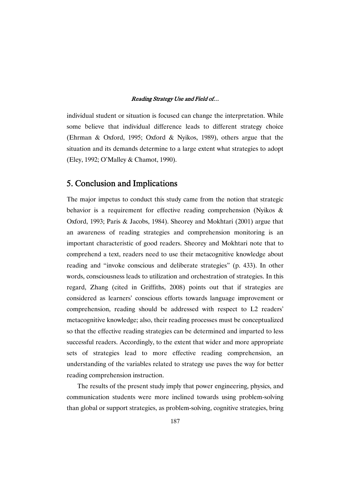individual student or situation is focused can change the interpretation. While some believe that individual difference leads to different strategy choice (Ehrman & Oxford, 1995; Oxford & Nyikos, 1989), others argue that the situation and its demands determine to a large extent what strategies to adopt (Eley, 1992; O'Malley & Chamot, 1990).

## 5. Conclusion and Implications

The major impetus to conduct this study came from the notion that strategic behavior is a requirement for effective reading comprehension (Nyikos & Oxford, 1993; Paris & Jacobs, 1984). Sheorey and Mokhtari (2001) argue that an awareness of reading strategies and comprehension monitoring is an important characteristic of good readers. Sheorey and Mokhtari note that to comprehend a text, readers need to use their metacognitive knowledge about reading and "invoke conscious and deliberate strategies" (p. 433). In other words, consciousness leads to utilization and orchestration of strategies. In this regard, Zhang (cited in Griffiths, 2008) points out that if strategies are considered as learners' conscious efforts towards language improvement or comprehension, reading should be addressed with respect to L2 readers' metacognitive knowledge; also, their reading processes must be conceptualized so that the effective reading strategies can be determined and imparted to less successful readers. Accordingly, to the extent that wider and more appropriate sets of strategies lead to more effective reading comprehension, an understanding of the variables related to strategy use paves the way for better reading comprehension instruction.

The results of the present study imply that power engineering, physics, and communication students were more inclined towards using problem-solving than global or support strategies, as problem-solving, cognitive strategies, bring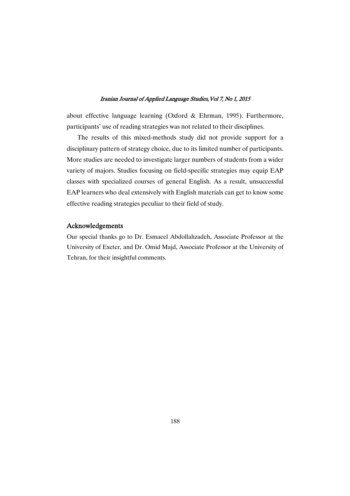about effective language learning (Oxford & Ehrman, 1995). Furthermore, participants' use of reading strategies was not related to their disciplines.

The results of this mixed-methods study did not provide support for a disciplinary pattern of strategy choice, due to its limited number of participants. More studies are needed to investigate larger numbers of students from a wider variety of majors. Studies focusing on field-specific strategies may equip EAP classes with specialized courses of general English. As a result, unsuccessful EAP learners who deal extensively with English materials can get to know some effective reading strategies peculiar to their field of study.

### Acknowledgements�

Our special thanks go to Dr. Esmaeel Abdollahzadeh, Associate Professor at the University of Exeter, and Dr. Omid Majd, Associate Professor at the University of Tehran, for their insightful comments.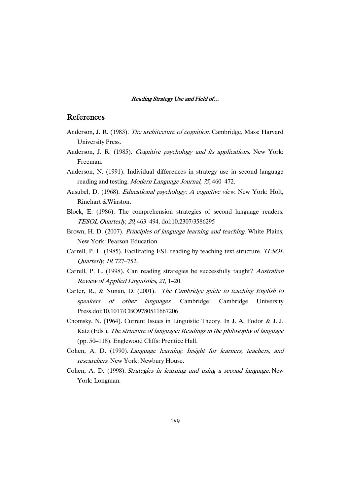### References

- Anderson, J. R. (1983). The architecture of cognition. Cambridge, Mass: Harvard University Press.
- Anderson, J. R. (1985). Cognitive psychology and its applications. New York: Freeman.
- Anderson, N. (1991). Individual differences in strategy use in second language reading and testing. Modern Language Journal, 75, 460–472.
- Ausubel, D. (1968). *Educational psychology: A cognitive view*. New York: Holt, Rinehart &Winston.
- Block, E. (1986). The comprehension strategies of second language readers. TESOL Quarterly, <sup>20</sup>, 463–494. doi:10.2307/3586295
- Brown, H. D. (2007). Principles of language learning and teaching. White Plains, New York: Pearson Education.
- Carrell, P. L. (1985). Facilitating ESL reading by teaching text structure. TESOL Quarterly, 19, 727–752.
- Carrell, P. L. (1998). Can reading strategies be successfully taught? Australian Review of Applied Linguistics, 21, 1–20.
- Carter, R., & Nunan, D. (2001). The Cambridge guide to teaching English to speakers of other languages. Cambridge: Cambridge University Press.doi:10.1017/CBO9780511667206
- Chomsky, N. (1964). Current Issues in Linguistic Theory. In J. A. Fodor & J. J. Katz (Eds.), The structure of language: Readings in the philosophy of language (pp. 50–118). Englewood Cliffs: Prentice Hall.
- Cohen, A. D. (1990). Language learning: Insight for learners, teachers, and researchers. New York: Newbury House.
- Cohen, A. D. (1998). Strategies in learning and using <sup>a</sup> second language. New York: Longman.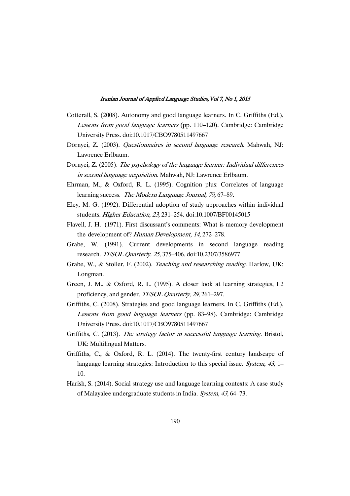- Cotterall, S. (2008). Autonomy and good language learners. In C. Griffiths (Ed.), Lessons from good language learners (pp. 110–120). Cambridge: Cambridge University Press. doi:10.1017/CBO9780511497667
- Dörnyei, Z. (2003). Questionnaires in second language research. Mahwah, NJ: Lawrence Erlbaum.
- Dörnyei, Z. (2005). The psychology of the language learner: Individual differences in second language acquisition. Mahwah, NJ: Lawrence Erlbaum.
- Ehrman, M., & Oxford, R. L. (1995). Cognition plus: Correlates of language learning success. The Modern Language Journal, 79, 67-89.
- Eley, M. G. (1992). Differential adoption of study approaches within individual students. Higher Education, 23, 231–254. doi:10.1007/BF00145015
- Flavell, J. H. (1971). First discussant's comments: What is memory development the development of? Human Development, 14, 272–278.
- Grabe, W. (1991). Current developments in second language reading research. TESOL Quarterly, 25, 375–406. doi:10.2307/3586977
- Grabe, W., & Stoller, F. (2002). Teaching and researching reading. Harlow, UK: Longman.
- Green, J. M., & Oxford, R. L. (1995). A closer look at learning strategies, L2 proficiency, and gender. TESOL Quarterly, 29, 261–297.
- Griffiths, C. (2008). Strategies and good language learners. In C. Griffiths (Ed.), Lessons from good language learners (pp. 83–98). Cambridge: Cambridge University Press. doi:10.1017/CBO9780511497667
- Griffiths, C. (2013). The strategy factor in successful language learning. Bristol, UK: Multilingual Matters.
- Griffiths, C., & Oxford, R. L. (2014). The twenty-first century landscape of language learning strategies: Introduction to this special issue. System, 43, 1– 10.
- Harish, S. (2014). Social strategy use and language learning contexts: A case study of Malayalee undergraduate students in India. System, 43, 64–73.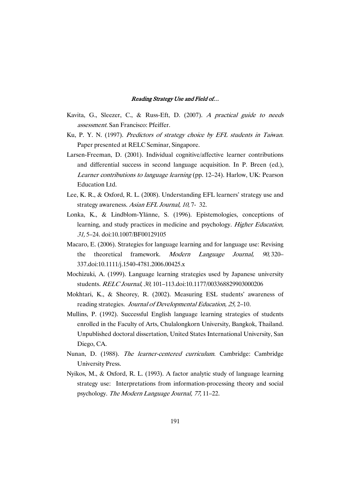- Kavita, G., Sleezer, C., & Russ-Eft, D. (2007). <sup>A</sup> practical guide to needs assessment. San Francisco: Pfeiffer.
- Ku, P. Y. N. (1997). Predictors of strategy choice by EFL students in Taiwan. Paper presented at RELC Seminar, Singapore.
- Larsen-Freeman, D. (2001). Individual cognitive/affective learner contributions and differential success in second language acquisition. In P. Breen (ed.), Learner contributions to language learning (pp. 12–24). Harlow, UK: Pearson Education Ltd.
- Lee, K. R., & Oxford, R. L. (2008). Understanding EFL learners' strategy use and strategy awareness. Asian EFL Journal, 10, 7- 32.
- Lonka, K., & Lindblom-Ylänne, S. (1996). Epistemologies, conceptions of learning, and study practices in medicine and psychology. Higher Education, 31, 5–24. doi:10.1007/BF00129105
- Macaro, E. (2006). Strategies for language learning and for language use: Revising the theoretical framework. Modern Language Journal, 90, 320– 337.doi:10.1111/j.1540-4781.2006.00425.x
- Mochizuki, A. (1999). Language learning strategies used by Japanese university students. RELC Journal, 30, 101–113.doi:10.1177/003368829903000206
- Mokhtari, K., & Sheorey, R. (2002). Measuring ESL students' awareness of reading strategies. Journal of Developmental Education, 25, 2–10.
- Mullins, P. (1992). Successful English language learning strategies of students enrolled in the Faculty of Arts, Chulalongkorn University, Bangkok, Thailand. Unpublished doctoral dissertation, United States International University, San Diego, CA.
- Nunan, D. (1988). The learner-centered curriculum. Cambridge: Cambridge University Press.
- Nyikos, M., & Oxford, R. L. (1993). A factor analytic study of language learning strategy use: Interpretations from information-processing theory and social psychology. The Modern Language Journal, 77, 11–22.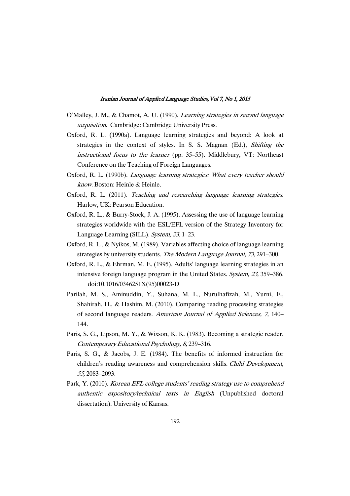- O'Malley, J. M., & Chamot, A. U. (1990). Learning strategies in second language acquisition. Cambridge: Cambridge University Press.
- Oxford, R. L. (1990a). Language learning strategies and beyond: A look at strategies in the context of styles. In S. S. Magnan (Ed.), Shifting the instructional focus to the learner (pp. 35–55). Middlebury, VT: Northeast Conference on the Teaching of Foreign Languages.
- Oxford, R. L. (1990b). Language learning strategies: What every teacher should know. Boston: Heinle & Heinle.
- Oxford, R. L. (2011). Teaching and researching language learning strategies. Harlow, UK: Pearson Education.
- Oxford, R. L., & Burry-Stock, J. A. (1995). Assessing the use of language learning strategies worldwide with the ESL/EFL version of the Strategy Inventory for Language Learning (SILL). System, 23, 1–23.
- Oxford, R. L., & Nyikos, M. (1989). Variables affecting choice of language learning strategies by university students. The Modern Language Journal, 73, 291–300.
- Oxford, R. L., & Ehrman, M. E. (1995). Adults' language learning strategies in an intensive foreign language program in the United States. System, 23, 359–386. doi:10.1016/0346251X(95)00023-D
- Parilah, M. S., Aminuddin, Y., Suhana, M. L., Nurulhafizah, M., Yurni, E., Shahirah, H., & Hashim, M. (2010). Comparing reading processing strategies of second language readers. American Journal of Applied Sciences, 7, 140– 144.
- Paris, S. G., Lipson, M. Y., & Wixson, K. K. (1983). Becoming a strategic reader. Contemporary Educational Psychology, 8, 239–316.
- Paris, S. G., & Jacobs, J. E. (1984). The benefits of informed instruction for children's reading awareness and comprehension skills. Child Development, 55, 2083–2093.
- Park, Y. (2010). Korean EFL college students' reading strategy use to comprehend authentic expository/technical texts in English (Unpublished doctoral dissertation). University of Kansas.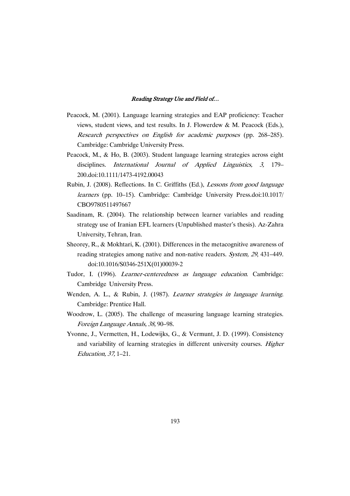- Peacock, M. (2001). Language learning strategies and EAP proficiency: Teacher views, student views, and test results. In J. Flowerdew & M. Peacock (Eds.), Research perspectives on English for academic purposes (pp. 268–285). Cambridge: Cambridge University Press.
- Peacock, M., & Ho, B. (2003). Student language learning strategies across eight disciplines. International Journal of Applied Linguistics, 3, 179– 200.doi:10.1111/1473-4192.00043
- Rubin, J. (2008). Reflections. In C. Griffiths (Ed.), Lessons from good language learners (pp. 10–15). Cambridge: Cambridge University Press.doi:10.1017/ CBO9780511497667
- Saadinam, R. (2004). The relationship between learner variables and reading strategy use of Iranian EFL learners (Unpublished master's thesis). Az-Zahra University, Tehran, Iran.
- Sheorey, R., & Mokhtari, K. (2001). Differences in the metacognitive awareness of reading strategies among native and non-native readers. System, <sup>29</sup>, 431–449. doi:10.1016/S0346-251X(01)00039-2
- Tudor, I. (1996). Learner-centeredness as language education. Cambridge: Cambridge University Press.
- Wenden, A. L., & Rubin, J. (1987). Learner strategies in language learning. Cambridge: Prentice Hall.
- Woodrow, L. (2005). The challenge of measuring language learning strategies. Foreign Language Annals, 38, 90–98.
- Yvonne, J., Vermetten, H., Lodewijks, G., & Vermunt, J. D. (1999). Consistency and variability of learning strategies in different university courses. Higher Education, 37, 1–21.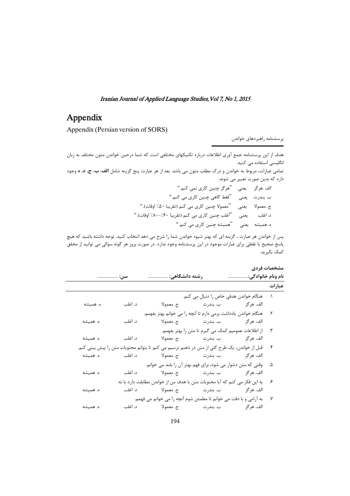# Appendix�

Appendix (Persian version of SORS)

پرسشنامه راهبردهای خواندن

هدف از این پرسشنامه جمع آوری اطلاعات درباره تکنیکهای مختلفی است که شما درحین خواندن متون مختلف به زبان انگلیسی استفاده می کنید. تمامي عبارات، مربوط به خواندن و درک مطلب متون مي باشد. بعد از هر عبارت پنج گزينه شامل **الف، ب، ج، د، ه** وجود دارد که بدین صورت تعبیر می شوند: الف .هرگز ۔ يعنى ۔ ''هرگز چنين كارى نمى كنم.'' ب. بندرت يعني "فقط گاهي چنين كاري مي كنم." ج. معمولا یعنی "معمولاچنین کاری می کنم (تقریبا ۵۰٪ اوقات)." د. اغلب يعني ''اغلب چنين كاري مي كنم (تقريبا ۶۰٪/۰-۸۰٪ اوقات).'' ه. همیشه پیعنی ''همیشه چنین کاری می کنم.''

پس از خواندن هر عبارت ، گزینه ای که بهتر شیوه خواندن شما را شرح می دهد انتخاب کنید. توجه داشته باشید که هیچ پاسخ صحیح یا غلطی برای عبارات موجود در این پرسشنامه وجود ندارد. در صورت بروز هر گونه سوالی می توانید از محقق كمك بگيريد.

|          |         |                                                                                                     |                                                                | مشخصات فردى |
|----------|---------|-----------------------------------------------------------------------------------------------------|----------------------------------------------------------------|-------------|
|          | سن:     | رشته دانشگاهی:                                                                                      | نام ونام خانوادگی:                                             |             |
|          |         |                                                                                                     |                                                                | عبارات      |
|          |         |                                                                                                     | ١. هنگام خواندن هدفي خاص را دنبال مي كنم.                      |             |
| ه. همیشه | د. اغلب |                                                                                                     | الف. هرگز                 ب. بندرت                   ج. معمولا |             |
|          |         | ٢. هنگام خواندن يادداشت برمي دارم تا آنچه را مي خوانم بهتر بفهمم.                                   |                                                                |             |
| ه. همیشه | د. اغلب |                                                                                                     |                                                                |             |
|          |         |                                                                                                     | ۳. از اطلاعات عمومیم کمک می گیرم تا متن را بهتر بفهمم.         |             |
|          |         |                                                                                                     |                                                                |             |
|          |         | ۴.     قبل از خواندن، یک طرح کلی از متن در ذهنم ترسیم می کنم تا بتوانم محتویات متن را پیش بینی کنم. |                                                                |             |
| ه. همیشه |         |                                                                                                     |                                                                |             |
|          |         | ۵.     وقتی که متن دشوار می شود، برای فهم بهتر آن را بلند می خوانم.                                 |                                                                |             |
| ه. همیشه |         |                                                                                                     |                                                                |             |
|          |         | به این فکر می کنم که آیا محتویات متن با هدف من از خواندن مطابقت دارد یا نه.                         |                                                                | ع.          |
| ه. همیشه |         |                                                                                                     |                                                                |             |
|          |         | ٧. ٪ به آرامي و با دقت مي خوانم تا مطمئن شوم آنچه را مي خوانم مي فهمم.                              |                                                                |             |
| ه. همیشه |         |                                                                                                     |                                                                |             |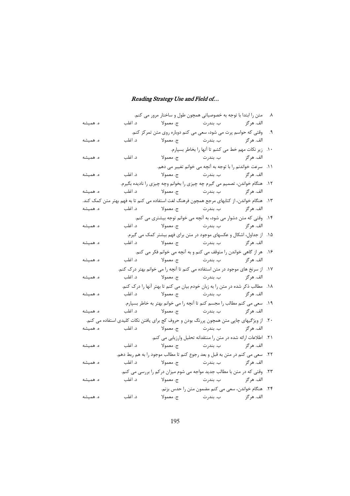|          |         |           |                        | ٨. متن را ابتدا با توجه به خصوصیاتی همچون طول و ساختار مرور می کنم.                            |  |
|----------|---------|-----------|------------------------|------------------------------------------------------------------------------------------------|--|
| ه. همیشه | د. اغلب |           |                        |                                                                                                |  |
|          |         |           |                        | ۹. وقتی که حواسم پرت می شود، سعی می کنم دوباره روی متن تمرکز کنم.                              |  |
| ه. همیشه | د. اغلب |           |                        |                                                                                                |  |
|          |         |           |                        | ١٠. زير نكات مهم خط مي كشم تا آنها را بخاطر بسپارم.                                            |  |
| ه. همیشه | د. اغلب |           |                        | الف. هر گز                                                                                     |  |
|          |         |           |                        | ١١. سرعت خواندنم را با توجه به آنچه می خوانم تغییر می دهم.                                     |  |
| ه. همیشه | د. اغلب |           |                        |                                                                                                |  |
|          |         |           |                        | ١٢. هنگام خواندن، تصميم مي گيرم چه چيزي را بخوانم وچه چيزي را ناديده بگيرم.                    |  |
| ه. همیشه | د. اغلب |           |                        |                                                                                                |  |
|          |         |           |                        | ۱۳.   هنگام خواندن، از کتابهای مرجع همچون فرهنگ لغت استفاده می کنم تا به فهم بهتر متن کمک کند. |  |
| ه. همیشه | د. اغلب |           |                        |                                                                                                |  |
|          |         |           |                        | ۱۴. وقتی که متن دشوار می شود، به آنچه می خوانم توجه بیشتری می کنم.                             |  |
| ه. همیشه | د. اغلب |           |                        |                                                                                                |  |
|          |         |           |                        | ۱۵. از جداول، اشکال و عکسهای موجود در متن برای فهم بیشتر کمک می گیرم.                          |  |
| ه. همیشه |         |           |                        |                                                                                                |  |
|          |         |           |                        | ۱۶. هر از گاهی خواندن را متوقف می کنم و به آنچه می خوانم فکر می کنم.                           |  |
| ه. همیشه |         |           |                        |                                                                                                |  |
|          |         |           |                        | ۱۷. از سرنخ های موجود در متن استفاده می کنم تا آنچه را می خوانم بهتر درک کنم.                  |  |
| ه. همیشه | د. اغلب |           |                        |                                                                                                |  |
|          |         |           |                        | ۱۸. مطالب ذکر شده در متن را به زبان خودم بیان می کنم تا بهتر آنها را درک کنم.                  |  |
| ه. همیشه |         |           |                        |                                                                                                |  |
|          |         |           |                        | ۱۹. سعی می کنم مطالب را مجسم کنم تا آنچه را می خوانم بهتر به خاطر بسپارم.                      |  |
| ه. همیشه |         |           |                        |                                                                                                |  |
|          |         |           |                        | ۲۰. از ویژگیهای چاپی متن همچون پررنگ بودن و حروف کج برای یافتن نکات کلیدی استفاده می کنم.      |  |
| ه. همیشه | د. اغلب |           |                        |                                                                                                |  |
|          |         |           |                        | ٢١. اطلاعات ارائه شده در متن را منتقدانه تحليل وارزيابي مي كنم.                                |  |
| ه. همیشه | د. اغلب | ج. معمولا | الف. هر گز ہے جا بندرت |                                                                                                |  |
|          |         |           |                        | ٢٢. سعي مي كنم در متن به قبل و بعد رجوع كنم تا مطالب موجود را به هم ربط دهم.                   |  |
| ه. همیشه | د. اغلب |           |                        |                                                                                                |  |
|          |         |           |                        | ٢٣. وقتي كه در متن با مطالب جديد مواجه مي شوم ميزان دركم را بررسي مي كنم.                      |  |
| ه. همیشه | د. اغلب |           |                        |                                                                                                |  |
|          |         |           |                        | ٢۴. هنگام خواندن، سعي مي كنم مضمون متن را حدس بزنم.                                            |  |
| ه. همىشە | د. اغلب | ج. معمولا |                        | الف. هرگز ہے جندرت                                                                             |  |